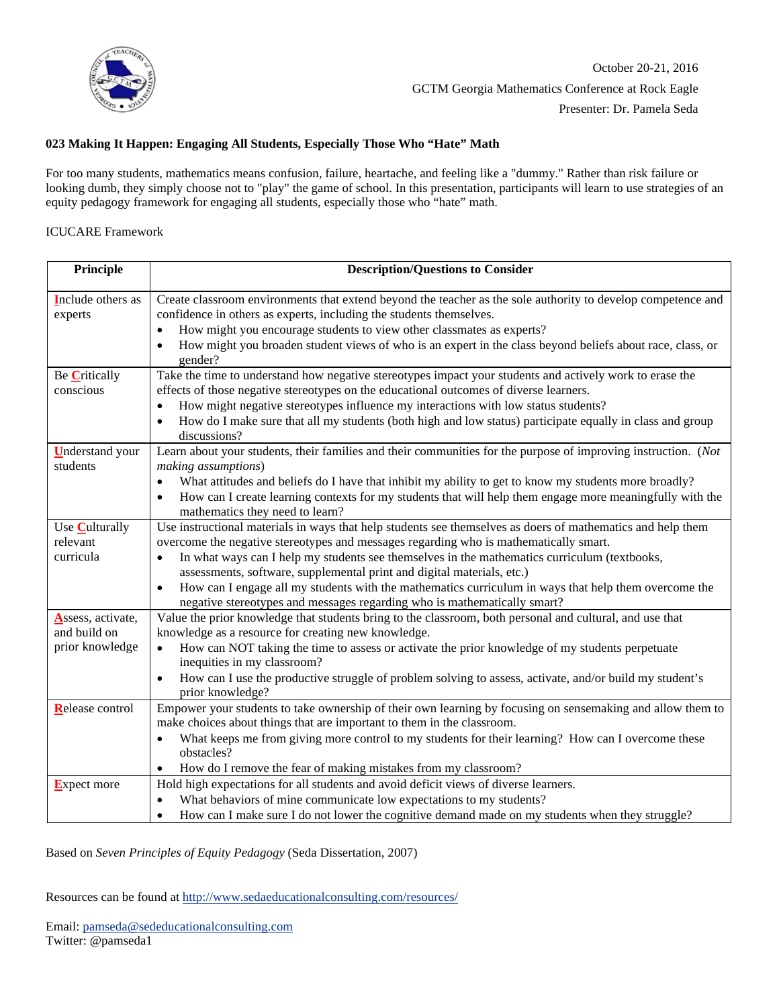

## **023 Making It Happen: Engaging All Students, Especially Those Who "Hate" Math**

For too many students, mathematics means confusion, failure, heartache, and feeling like a "dummy." Rather than risk failure or looking dumb, they simply choose not to "play" the game of school. In this presentation, participants will learn to use strategies of an equity pedagogy framework for engaging all students, especially those who "hate" math.

## ICUCARE Framework

| Principle                          | <b>Description/Questions to Consider</b>                                                                                                                                                      |
|------------------------------------|-----------------------------------------------------------------------------------------------------------------------------------------------------------------------------------------------|
| Include others as<br>experts       | Create classroom environments that extend beyond the teacher as the sole authority to develop competence and<br>confidence in others as experts, including the students themselves.           |
|                                    | How might you encourage students to view other classmates as experts?                                                                                                                         |
|                                    | How might you broaden student views of who is an expert in the class beyond beliefs about race, class, or<br>gender?                                                                          |
| Be Critically                      | Take the time to understand how negative stereotypes impact your students and actively work to erase the                                                                                      |
| conscious                          | effects of those negative stereotypes on the educational outcomes of diverse learners.                                                                                                        |
|                                    | How might negative stereotypes influence my interactions with low status students?                                                                                                            |
|                                    | How do I make sure that all my students (both high and low status) participate equally in class and group<br>discussions?                                                                     |
| <b>Understand</b> your<br>students | Learn about your students, their families and their communities for the purpose of improving instruction. (Not<br>making assumptions)                                                         |
|                                    | What attitudes and beliefs do I have that inhibit my ability to get to know my students more broadly?<br>$\bullet$                                                                            |
|                                    | How can I create learning contexts for my students that will help them engage more meaningfully with the<br>$\bullet$<br>mathematics they need to learn?                                      |
| Use Culturally                     | Use instructional materials in ways that help students see themselves as doers of mathematics and help them                                                                                   |
| relevant                           | overcome the negative stereotypes and messages regarding who is mathematically smart.                                                                                                         |
| curricula                          | In what ways can I help my students see themselves in the mathematics curriculum (textbooks,<br>$\bullet$<br>assessments, software, supplemental print and digital materials, etc.)           |
|                                    | How can I engage all my students with the mathematics curriculum in ways that help them overcome the<br>$\bullet$<br>negative stereotypes and messages regarding who is mathematically smart? |
| Assess, activate,<br>and build on  | Value the prior knowledge that students bring to the classroom, both personal and cultural, and use that<br>knowledge as a resource for creating new knowledge.                               |
| prior knowledge                    | How can NOT taking the time to assess or activate the prior knowledge of my students perpetuate<br>$\bullet$<br>inequities in my classroom?                                                   |
|                                    | How can I use the productive struggle of problem solving to assess, activate, and/or build my student's<br>$\bullet$<br>prior knowledge?                                                      |
| Release control                    | Empower your students to take ownership of their own learning by focusing on sensemaking and allow them to                                                                                    |
|                                    | make choices about things that are important to them in the classroom.                                                                                                                        |
|                                    | What keeps me from giving more control to my students for their learning? How can I overcome these<br>$\bullet$<br>obstacles?                                                                 |
|                                    | How do I remove the fear of making mistakes from my classroom?                                                                                                                                |
| <b>Expect more</b>                 | Hold high expectations for all students and avoid deficit views of diverse learners.                                                                                                          |
|                                    | What behaviors of mine communicate low expectations to my students?                                                                                                                           |
|                                    | How can I make sure I do not lower the cognitive demand made on my students when they struggle?<br>$\bullet$                                                                                  |

Based on *Seven Principles of Equity Pedagogy* (Seda Dissertation, 2007)

Resources can be found a[t http://www.sedaeducationalconsulting.com/resources/](http://www.sedaeducationalconsulting.com/resources/)